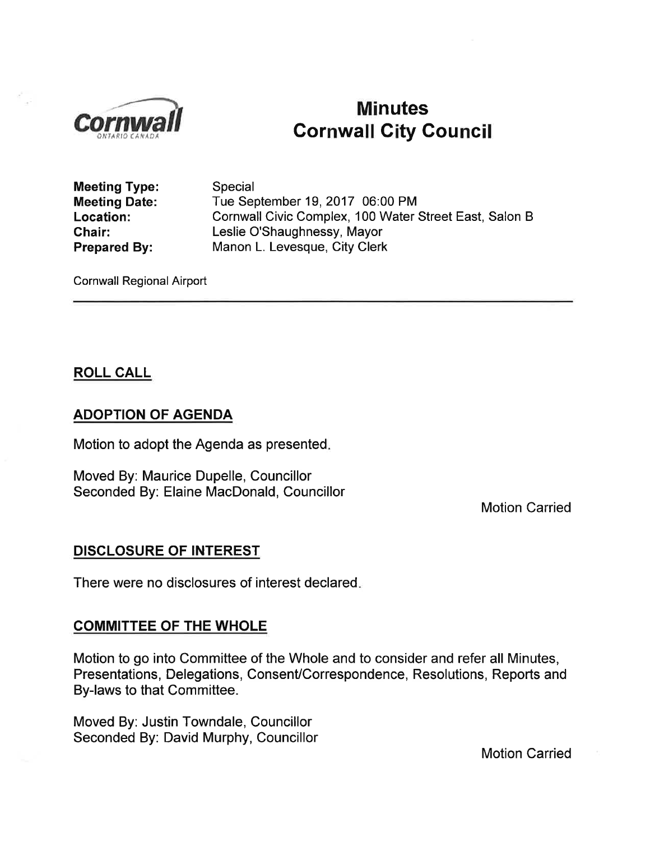

# Minutes<br>Cornwall City Council

Meeting Type: Meeting Date: Location: Chair: Prepared By:

Special Tue September 19,2017 06:00 PM Cornwall Civic Complex, 100 Water Street East, Salon B Leslie O'Shaughnessy, Mayor Manon L. Levesque, City Clerk

Cornwall Regional Airport

## ROLL CALL

#### ADOPTION OF AGENDA

Motion to adopt the Agenda as presented

Moved By: Maurice Dupelle, Councillor Seconded By. Elaine MacDonald, Councillor

Motion Carried

#### DISCLOSURE OF INTEREST

There were no disclosures of interest declared

#### COMMITTEE OF THE WHOLE

Motion to go into Committee of the Whole and to consider and refer all Minutes, Presentations, Delegations, Consent/Correspondence, Resolutions, Reports and By-laws to that Committee.

Moved By: Justin Towndale, Councillor Seconded By: David Murphy, Councillor

Motion Carried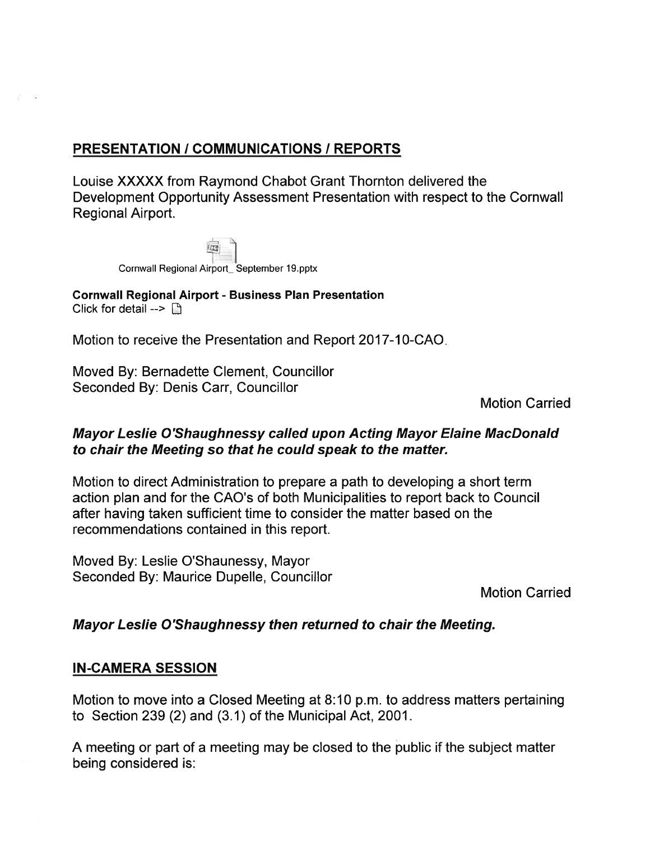## PRESENTATION / GOMMUNICATIONS / REPORTS

Louise XXXXX from Raymond Chabot Grant Thornton delivered the Development Opportunity Assessment Presentation with respect to the Cornwall Regional Airport.

| Cornwall Regional Airport_ September 19.pptx |  |
|----------------------------------------------|--|

- 62

Gornwall Regional Airport - Business Plan Presentation Click for detail  $\triangleright$   $\triangleright$ 

Motion to receive the Presentation and Report 2017-10-CAO.

Moved By: Bernadette Clement, Councillor Seconded By: Denis Carr, Councillor

Motion Carried

## Mayor Leslie O'Shaughnessy called upon Acting Mayor Elaine MacDonald to chair the Meeting so that he could speak to the matter.

Motion to direct Administration to prepare a path to developing a short term action plan and for the CAO's of both Municipalities to report back to Council after having taken sufficient time to consider the matter based on the recommendations contained in this report.

Moved By: Leslie O'Shaunessy, Mayor Seconded By: Maurice Dupelle, Councillor

Motion Carried

## Mayor Leslie O'Shaughnessy then returned to chair the Meeting.

## IN-CAMERA SESSION

Motion to move into a Closed Meeting at 8:10 p.m.to address matters pertaining to Section 239 (2) and (3.1) of the Municipal Act, 2001.

A meeting or part of a meeting may be closed to the public if the subject matter being considered is: